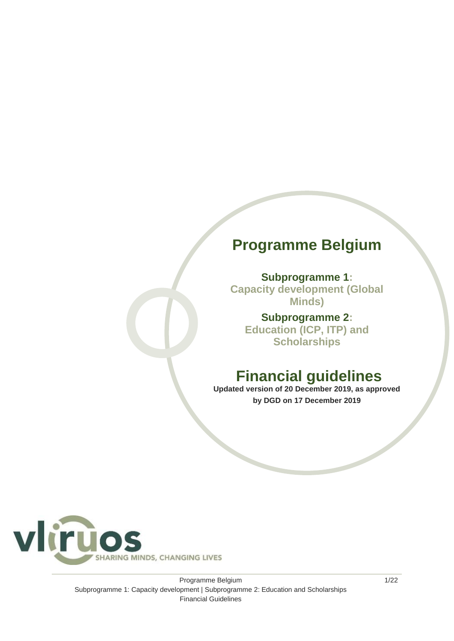## **Programme Belgium**

**Subprogramme 1: Capacity development (Global Minds)**

**Subprogramme 2: Education (ICP, ITP) and Scholarships** 

## **Financial guidelines**

**Updated version of 20 December 2019, as approved by DGD on 17 December 2019**



Programme Belgium Subprogramme 1: Capacity development | Subprogramme 2: Education and Scholarships Financial Guidelines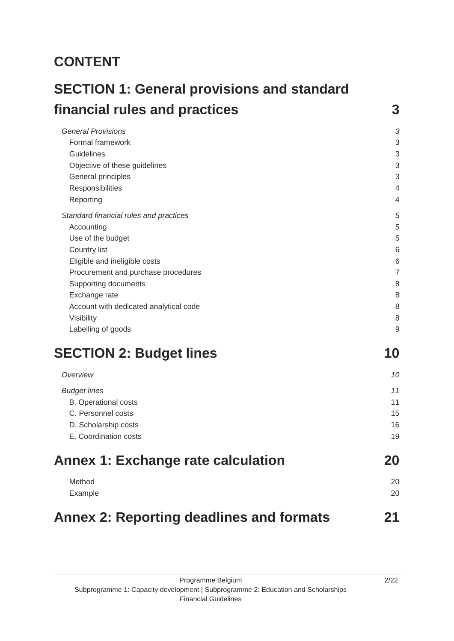## **CONTENT**

| financial rules and practices          | 3              |
|----------------------------------------|----------------|
|                                        |                |
| <b>General Provisions</b>              | G              |
| <b>Formal framework</b>                | 3              |
| Guidelines                             | 3              |
| Objective of these guidelines          | 3              |
| General principles                     | 3              |
| Responsibilities                       | 4              |
| Reporting                              | 4              |
| Standard financial rules and practices | 5              |
| Accounting                             | 5              |
| Use of the budget                      | 5              |
| Country list                           | 6              |
| Eligible and ineligible costs          | 6              |
| Procurement and purchase procedures    | 7              |
| Supporting documents                   | 8              |
| Exchange rate                          | 8              |
| Account with dedicated analytical code | 8              |
| Visibility                             | 8              |
| Labelling of goods                     | 9              |
| <b>SECTION 2: Budget lines</b>         | 10             |
| Oveniow                                | 1 <sup>c</sup> |

| <b>Annex 1: Exchange rate calculation</b> | 20 |
|-------------------------------------------|----|
| E. Coordination costs                     | 19 |
| D. Scholarship costs                      | 16 |
| C. Personnel costs                        | 15 |
| <b>B.</b> Operational costs               | 11 |
| <b>Budget lines</b>                       | 11 |
| Overview                                  | 10 |

| Method  | 20 |
|---------|----|
| Example | 20 |
|         |    |

## **[Annex 2: Reporting deadlines and formats](#page-20-0) 21**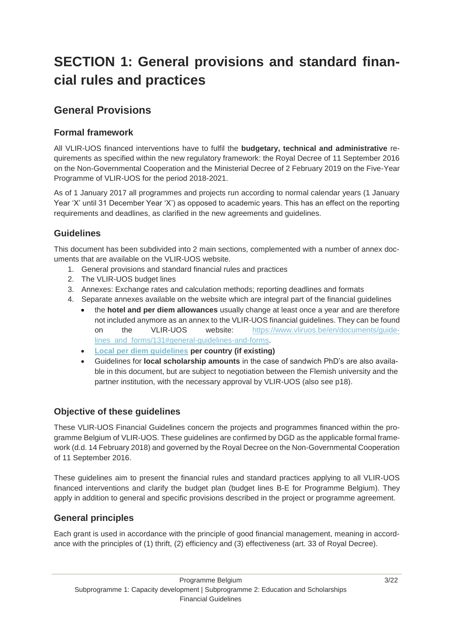## <span id="page-2-0"></span>**SECTION 1: General provisions and standard financial rules and practices**

## <span id="page-2-1"></span>**General Provisions**

## <span id="page-2-2"></span>**Formal framework**

All VLIR-UOS financed interventions have to fulfil the **budgetary, technical and administrative** requirements as specified within the new regulatory framework: the Royal Decree of 11 September 2016 on the Non-Governmental Cooperation and the Ministerial Decree of 2 February 2019 on the Five-Year Programme of VLIR-UOS for the period 2018-2021.

As of 1 January 2017 all programmes and projects run according to normal calendar years (1 January Year 'X' until 31 December Year 'X') as opposed to academic years. This has an effect on the reporting requirements and deadlines, as clarified in the new agreements and guidelines.

## <span id="page-2-3"></span>**Guidelines**

This document has been subdivided into 2 main sections, complemented with a number of annex documents that are available on the VLIR-UOS website.

- 1. General provisions and standard financial rules and practices
- 2. The VLIR-UOS budget lines
- 3. Annexes: Exchange rates and calculation methods; reporting deadlines and formats
- 4. Separate annexes available on the website which are integral part of the financial guidelines
	- the **hotel and per diem allowances** usually change at least once a year and are therefore not included anymore as an annex to the VLIR-UOS financial guidelines. They can be found on the VLIR-UOS website: [https://www.vliruos.be/en/documents/guide](https://www.vliruos.be/en/documents/guidelines_and_forms/131#general-guidelines-and-forms)[lines\\_and\\_forms/131#general-guidelines-and-forms.](https://www.vliruos.be/en/documents/guidelines_and_forms/131#general-guidelines-and-forms)
	- **[Local per diem guidelines](https://cdn.webdoos.io/vliruos/5f4d80d107ed0de59044e04e999e286d.pdf) per country (if existing)**
	- Guidelines for **local scholarship amounts** in the case of sandwich PhD's are also available in this document, but are subject to negotiation between the Flemish university and the partner institution, with the necessary approval by VLIR-UOS (also see p18).

## <span id="page-2-4"></span>**Objective of these guidelines**

These VLIR-UOS Financial Guidelines concern the projects and programmes financed within the programme Belgium of VLIR-UOS. These guidelines are confirmed by DGD as the applicable formal framework (d.d. 14 February 2018) and governed by the Royal Decree on the Non-Governmental Cooperation of 11 September 2016.

These guidelines aim to present the financial rules and standard practices applying to all VLIR-UOS financed interventions and clarify the budget plan (budget lines B-E for Programme Belgium). They apply in addition to general and specific provisions described in the project or programme agreement.

## <span id="page-2-5"></span>**General principles**

Each grant is used in accordance with the principle of good financial management, meaning in accordance with the principles of (1) thrift, (2) efficiency and (3) effectiveness (art. 33 of Royal Decree).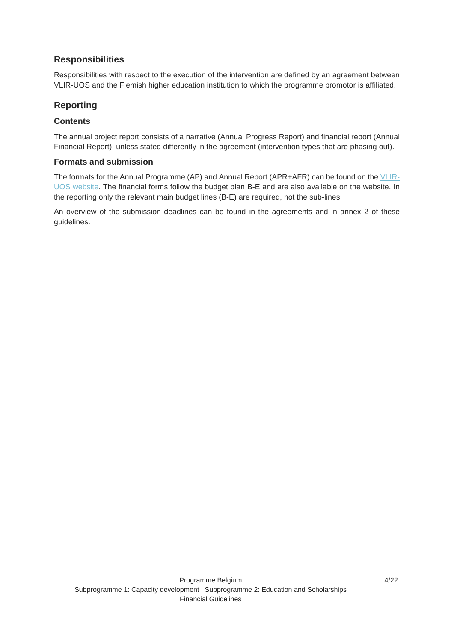## <span id="page-3-0"></span>**Responsibilities**

Responsibilities with respect to the execution of the intervention are defined by an agreement between VLIR-UOS and the Flemish higher education institution to which the programme promotor is affiliated.

### <span id="page-3-1"></span>**Reporting**

#### **Contents**

The annual project report consists of a narrative (Annual Progress Report) and financial report (Annual Financial Report), unless stated differently in the agreement (intervention types that are phasing out).

#### **Formats and submission**

The formats for the Annual Programme (AP) and Annual Report (APR+AFR) can be found on the [VLIR-](https://www.vliruos.be/en/documents/guidelines_and_forms/131#general-guidelines-and-forms)[UOS website.](https://www.vliruos.be/en/documents/guidelines_and_forms/131#general-guidelines-and-forms) The financial forms follow the budget plan B-E and are also available on the website. In the reporting only the relevant main budget lines (B-E) are required, not the sub-lines.

An overview of the submission deadlines can be found in the agreements and in annex 2 of these guidelines.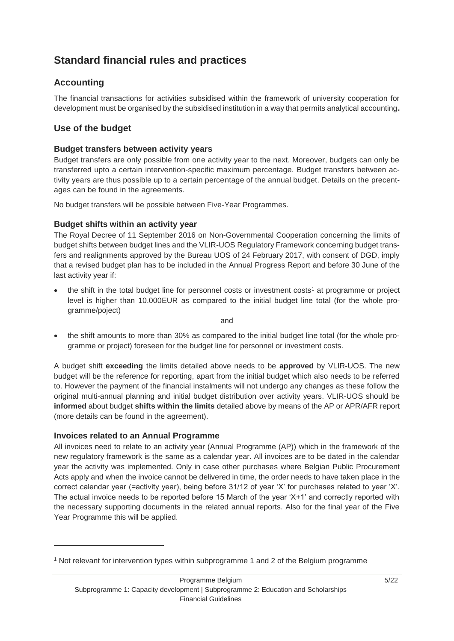## <span id="page-4-0"></span>**Standard financial rules and practices**

## <span id="page-4-1"></span>**Accounting**

The financial transactions for activities subsidised within the framework of university cooperation for development must be organised by the subsidised institution in a way that permits analytical accounting**.**

## <span id="page-4-2"></span>**Use of the budget**

#### **Budget transfers between activity years**

Budget transfers are only possible from one activity year to the next. Moreover, budgets can only be transferred upto a certain intervention-specific maximum percentage. Budget transfers between activity years are thus possible up to a certain percentage of the annual budget. Details on the precentages can be found in the agreements.

No budget transfers will be possible between Five-Year Programmes.

#### **Budget shifts within an activity year**

The Royal Decree of 11 September 2016 on Non-Governmental Cooperation concerning the limits of budget shifts between budget lines and the VLIR-UOS Regulatory Framework concerning budget transfers and realignments approved by the Bureau UOS of 24 February 2017, with consent of DGD, imply that a revised budget plan has to be included in the Annual Progress Report and before 30 June of the last activity year if:

the shift in the total budget line for personnel costs or investment costs<sup>1</sup> at programme or project level is higher than 10.000EUR as compared to the initial budget line total (for the whole programme/poject)

and

 the shift amounts to more than 30% as compared to the initial budget line total (for the whole programme or project) foreseen for the budget line for personnel or investment costs.

A budget shift **exceeding** the limits detailed above needs to be **approved** by VLIR-UOS. The new budget will be the reference for reporting, apart from the initial budget which also needs to be referred to. However the payment of the financial instalments will not undergo any changes as these follow the original multi-annual planning and initial budget distribution over activity years. VLIR-UOS should be **informed** about budget **shifts within the limits** detailed above by means of the AP or APR/AFR report (more details can be found in the agreement).

#### **Invoices related to an Annual Programme**

-

All invoices need to relate to an activity year (Annual Programme (AP)) which in the framework of the new regulatory framework is the same as a calendar year. All invoices are to be dated in the calendar year the activity was implemented. Only in case other purchases where Belgian Public Procurement Acts apply and when the invoice cannot be delivered in time, the order needs to have taken place in the correct calendar year (=activity year), being before 31/12 of year 'X' for purchases related to year 'X'. The actual invoice needs to be reported before 15 March of the year 'X+1' and correctly reported with the necessary supporting documents in the related annual reports. Also for the final year of the Five Year Programme this will be applied.

<sup>1</sup> Not relevant for intervention types within subprogramme 1 and 2 of the Belgium programme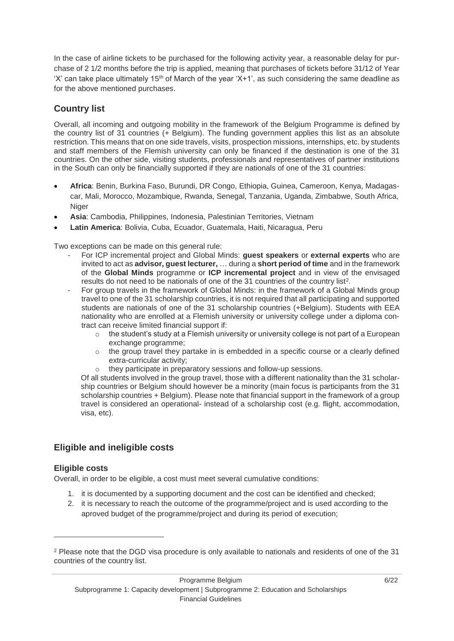In the case of airline tickets to be purchased for the following activity year, a reasonable delay for purchase of 2 1/2 months before the trip is applied, meaning that purchases of tickets before 31/12 of Year 'X' can take place ultimately 15<sup>th</sup> of March of the year 'X+1', as such considering the same deadline as for the above mentioned purchases.

## <span id="page-5-0"></span>**Country list**

Overall, all incoming and outgoing mobility in the framework of the Belgium Programme is defined by the country list of 31 countries (+ Belgium). The funding government applies this list as an absolute restriction. This means that on one side travels, visits, prospection missions, internships, etc. by students and staff members of the Flemish university can only be financed if the destination is one of the 31 countries. On the other side, visiting students, professionals and representatives of partner institutions in the South can only be financially supported if they are nationals of one of the 31 countries:

- **Africa**: Benin, Burkina Faso, Burundi, DR Congo, Ethiopia, Guinea, Cameroon, Kenya, Madagascar, Mali, Morocco, Mozambique, Rwanda, Senegal, Tanzania, Uganda, Zimbabwe, South Africa, Niger
- **Asia**: Cambodia, Philippines, Indonesia, Palestinian Territories, Vietnam
- **Latin America**: Bolivia, Cuba, Ecuador, Guatemala, Haiti, Nicaragua, Peru

Two exceptions can be made on this general rule:

- For ICP incremental project and Global Minds: **guest speakers** or **external experts** who are invited to act as **advisor, guest lecturer,** … during a **short period of time** and in the framework of the **Global Minds** programme or **ICP incremental project** and in view of the envisaged results do not need to be nationals of one of the 31 countries of the country list<sup>2</sup>.
- For group travels in the framework of Global Minds: in the framework of a Global Minds group travel to one of the 31 scholarship countries, it is not required that all participating and supported students are nationals of one of the 31 scholarship countries (+Belgium). Students with EEA nationality who are enrolled at a Flemish university or university college under a diploma contract can receive limited financial support if:
	- $\circ$  the student's study at a Flemish university or university college is not part of a European exchange programme;
	- o the group travel they partake in is embedded in a specific course or a clearly defined extra-curricular activity;
	- o they participate in preparatory sessions and follow-up sessions.

Of all students involved in the group travel, those with a different nationality than the 31 scholarship countries or Belgium should however be a minority (main focus is participants from the 31 scholarship countries + Belgium). Please note that financial support in the framework of a group travel is considered an operational- instead of a scholarship cost (e.g. flight, accommodation, visa, etc).

#### <span id="page-5-1"></span>**Eligible and ineligible costs**

#### **Eligible costs**

-

Overall, in order to be eligible, a cost must meet several cumulative conditions:

- 1. it is documented by a supporting document and the cost can be identified and checked;
- 2. it is necessary to reach the outcome of the programme/project and is used according to the aproved budget of the programme/project and during its period of execution;

<sup>2</sup> Please note that the DGD visa procedure is only available to nationals and residents of one of the 31 countries of the country list.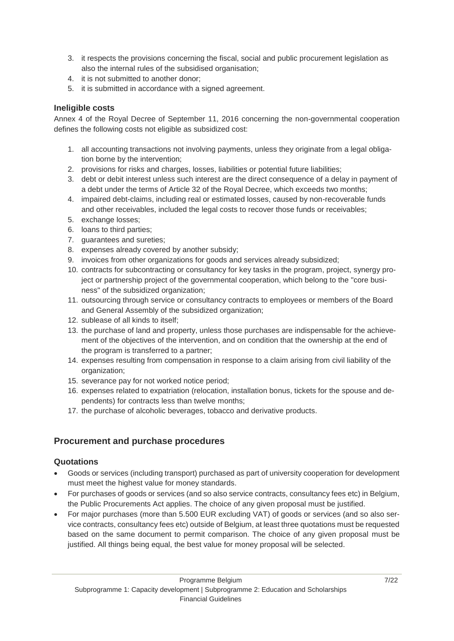- 3. it respects the provisions concerning the fiscal, social and public procurement legislation as also the internal rules of the subsidised organisation;
- 4. it is not submitted to another donor;
- 5. it is submitted in accordance with a signed agreement.

#### **Ineligible costs**

Annex 4 of the Royal Decree of September 11, 2016 concerning the non-governmental cooperation defines the following costs not eligible as subsidized cost:

- 1. all accounting transactions not involving payments, unless they originate from a legal obligation borne by the intervention;
- 2. provisions for risks and charges, losses, liabilities or potential future liabilities;
- 3. debt or debit interest unless such interest are the direct consequence of a delay in payment of a debt under the terms of Article 32 of the Royal Decree, which exceeds two months;
- 4. impaired debt-claims, including real or estimated losses, caused by non-recoverable funds and other receivables, included the legal costs to recover those funds or receivables;
- 5. exchange losses;
- 6. loans to third parties;
- 7. guarantees and sureties;
- 8. expenses already covered by another subsidy;
- 9. invoices from other organizations for goods and services already subsidized;
- 10. contracts for subcontracting or consultancy for key tasks in the program, project, synergy project or partnership project of the governmental cooperation, which belong to the "core business" of the subsidized organization;
- 11. outsourcing through service or consultancy contracts to employees or members of the Board and General Assembly of the subsidized organization;
- 12. sublease of all kinds to itself;
- 13. the purchase of land and property, unless those purchases are indispensable for the achievement of the objectives of the intervention, and on condition that the ownership at the end of the program is transferred to a partner;
- 14. expenses resulting from compensation in response to a claim arising from civil liability of the organization;
- 15. severance pay for not worked notice period;
- 16. expenses related to expatriation (relocation, installation bonus, tickets for the spouse and dependents) for contracts less than twelve months;
- 17. the purchase of alcoholic beverages, tobacco and derivative products.

## <span id="page-6-0"></span>**Procurement and purchase procedures**

#### **Quotations**

- Goods or services (including transport) purchased as part of university cooperation for development must meet the highest value for money standards.
- For purchases of goods or services (and so also service contracts, consultancy fees etc) in Belgium, the Public Procurements Act applies. The choice of any given proposal must be justified.
- For major purchases (more than 5.500 EUR excluding VAT) of goods or services (and so also service contracts, consultancy fees etc) outside of Belgium, at least three quotations must be requested based on the same document to permit comparison. The choice of any given proposal must be justified. All things being equal, the best value for money proposal will be selected.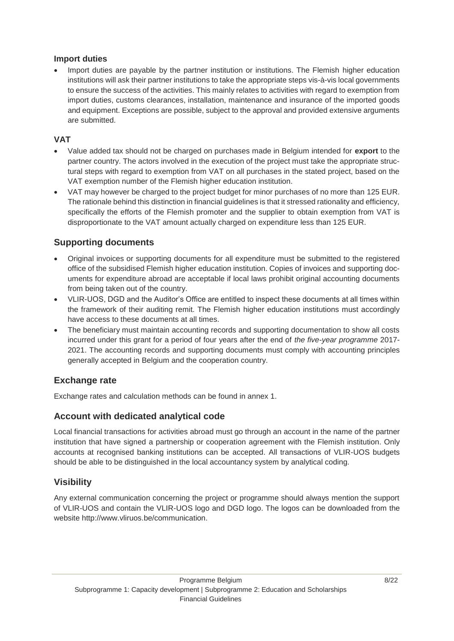#### **Import duties**

 Import duties are payable by the partner institution or institutions. The Flemish higher education institutions will ask their partner institutions to take the appropriate steps vis-à-vis local governments to ensure the success of the activities. This mainly relates to activities with regard to exemption from import duties, customs clearances, installation, maintenance and insurance of the imported goods and equipment. Exceptions are possible, subject to the approval and provided extensive arguments are submitted.

#### **VAT**

- Value added tax should not be charged on purchases made in Belgium intended for **export** to the partner country. The actors involved in the execution of the project must take the appropriate structural steps with regard to exemption from VAT on all purchases in the stated project, based on the VAT exemption number of the Flemish higher education institution.
- VAT may however be charged to the project budget for minor purchases of no more than 125 EUR. The rationale behind this distinction in financial guidelines is that it stressed rationality and efficiency, specifically the efforts of the Flemish promoter and the supplier to obtain exemption from VAT is disproportionate to the VAT amount actually charged on expenditure less than 125 EUR.

## <span id="page-7-0"></span>**Supporting documents**

- Original invoices or supporting documents for all expenditure must be submitted to the registered office of the subsidised Flemish higher education institution. Copies of invoices and supporting documents for expenditure abroad are acceptable if local laws prohibit original accounting documents from being taken out of the country.
- VLIR-UOS, DGD and the Auditor's Office are entitled to inspect these documents at all times within the framework of their auditing remit. The Flemish higher education institutions must accordingly have access to these documents at all times.
- The beneficiary must maintain accounting records and supporting documentation to show all costs incurred under this grant for a period of four years after the end of *the five-year programme* 2017- 2021. The accounting records and supporting documents must comply with accounting principles generally accepted in Belgium and the cooperation country.

## <span id="page-7-1"></span>**Exchange rate**

Exchange rates and calculation methods can be found in annex 1.

## <span id="page-7-2"></span>**Account with dedicated analytical code**

Local financial transactions for activities abroad must go through an account in the name of the partner institution that have signed a partnership or cooperation agreement with the Flemish institution. Only accounts at recognised banking institutions can be accepted. All transactions of VLIR-UOS budgets should be able to be distinguished in the local accountancy system by analytical coding.

## <span id="page-7-3"></span>**Visibility**

Any external communication concerning the project or programme should always mention the support of VLIR-UOS and contain the VLIR-UOS logo and DGD logo. The logos can be downloaded from the website http://www.vliruos.be/communication.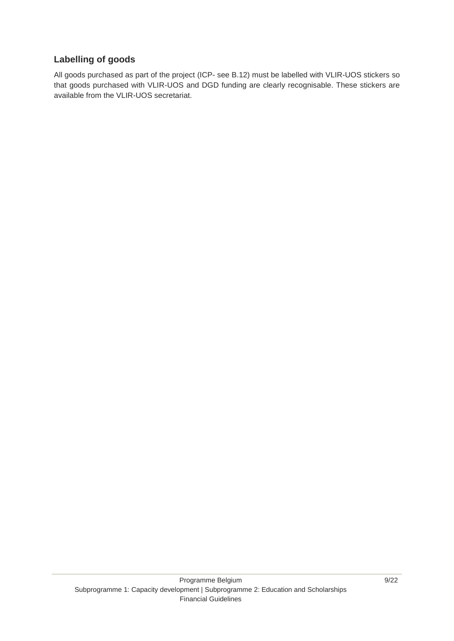## <span id="page-8-0"></span>**Labelling of goods**

All goods purchased as part of the project (ICP- see B.12) must be labelled with VLIR-UOS stickers so that goods purchased with VLIR-UOS and DGD funding are clearly recognisable. These stickers are available from the VLIR-UOS secretariat.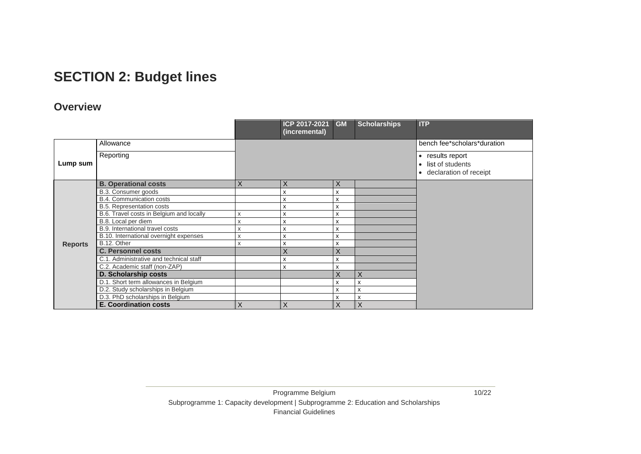## **SECTION 2: Budget lines**

## **Overview**

<span id="page-9-1"></span><span id="page-9-0"></span>

|                |                                          |   | ICP 2017-2021<br>(incremental) | GM | <b>Scholarships</b>       | <b>ITP</b>                                                                    |
|----------------|------------------------------------------|---|--------------------------------|----|---------------------------|-------------------------------------------------------------------------------|
|                | Allowance                                |   |                                |    |                           | bench fee*scholars*duration                                                   |
| Lump sum       | Reporting                                |   |                                |    |                           | • results report<br>• list of students<br>declaration of receipt<br>$\bullet$ |
|                | <b>B. Operational costs</b>              | X | X                              | X  |                           |                                                                               |
|                | B.3. Consumer goods                      |   | x                              | x  |                           |                                                                               |
|                | <b>B.4. Communication costs</b>          |   | X                              | X  |                           |                                                                               |
|                | B.5. Representation costs                |   | X                              | x  |                           |                                                                               |
|                | B.6. Travel costs in Belgium and locally | x | x                              | X  |                           |                                                                               |
|                | B.8. Local per diem                      | X | X                              | x  |                           |                                                                               |
|                | B.9. International travel costs          | Χ | x                              | X  |                           |                                                                               |
|                | B.10. International overnight expenses   | x | x                              | x  |                           |                                                                               |
| <b>Reports</b> | B.12. Other                              | x | x                              | x  |                           |                                                                               |
|                | <b>C. Personnel costs</b>                |   | X                              | X  |                           |                                                                               |
|                | C.1. Administrative and technical staff  |   | X                              | x  |                           |                                                                               |
|                | C.2. Academic staff (non-ZAP)            |   | X                              | x  |                           |                                                                               |
|                | D. Scholarship costs                     |   |                                | X  | X.                        |                                                                               |
|                | D.1. Short term allowances in Belgium    |   |                                | X  | $\boldsymbol{\mathsf{x}}$ |                                                                               |
|                | D.2. Study scholarships in Belgium       |   |                                | x  | х                         |                                                                               |
|                | D.3. PhD scholarships in Belgium         |   |                                | X  | X                         |                                                                               |
|                | <b>E. Coordination costs</b>             | X | X                              | X  | X                         |                                                                               |

10/22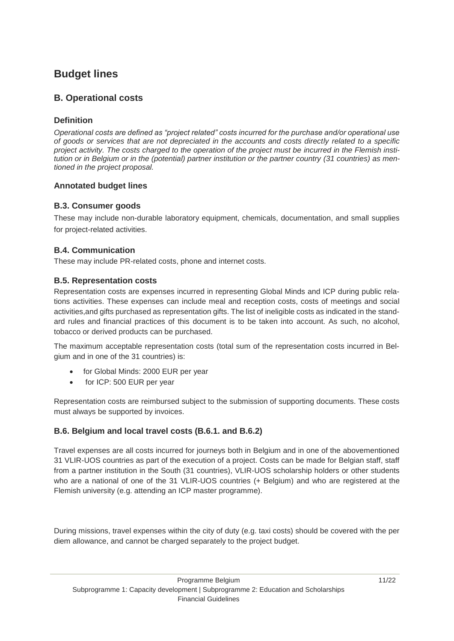## <span id="page-10-0"></span>**Budget lines**

### <span id="page-10-1"></span>**B. Operational costs**

#### **Definition**

*Operational costs are defined as "project related" costs incurred for the purchase and/or operational use of goods or services that are not depreciated in the accounts and costs directly related to a specific project activity. The costs charged to the operation of the project must be incurred in the Flemish institution or in Belgium or in the (potential) partner institution or the partner country (31 countries) as mentioned in the project proposal.* 

#### **Annotated budget lines**

#### **B.3. Consumer goods**

These may include non-durable laboratory equipment, chemicals, documentation, and small supplies for project-related activities.

#### **B.4. Communication**

These may include PR-related costs, phone and internet costs.

#### **B.5. Representation costs**

Representation costs are expenses incurred in representing Global Minds and ICP during public relations activities. These expenses can include meal and reception costs, costs of meetings and social activities,and gifts purchased as representation gifts. The list of ineligible costs as indicated in the standard rules and financial practices of this document is to be taken into account. As such, no alcohol, tobacco or derived products can be purchased.

The maximum acceptable representation costs (total sum of the representation costs incurred in Belgium and in one of the 31 countries) is:

- for Global Minds: 2000 EUR per year
- for ICP: 500 EUR per year

Representation costs are reimbursed subject to the submission of supporting documents. These costs must always be supported by invoices.

#### **B.6. Belgium and local travel costs (B.6.1. and B.6.2)**

Travel expenses are all costs incurred for journeys both in Belgium and in one of the abovementioned 31 VLIR-UOS countries as part of the execution of a project. Costs can be made for Belgian staff, staff from a partner institution in the South (31 countries), VLIR-UOS scholarship holders or other students who are a national of one of the 31 VLIR-UOS countries (+ Belgium) and who are registered at the Flemish university (e.g. attending an ICP master programme).

During missions, travel expenses within the city of duty (e.g. taxi costs) should be covered with the per diem allowance, and cannot be charged separately to the project budget.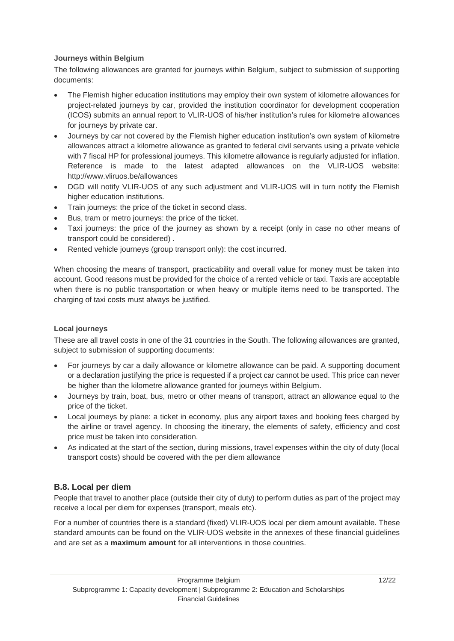#### **Journeys within Belgium**

The following allowances are granted for journeys within Belgium, subject to submission of supporting documents:

- The Flemish higher education institutions may employ their own system of kilometre allowances for project-related journeys by car, provided the institution coordinator for development cooperation (ICOS) submits an annual report to VLIR-UOS of his/her institution's rules for kilometre allowances for journeys by private car.
- Journeys by car not covered by the Flemish higher education institution's own system of kilometre allowances attract a kilometre allowance as granted to federal civil servants using a private vehicle with 7 fiscal HP for professional journeys. This kilometre allowance is regularly adjusted for inflation. Reference is made to the latest adapted allowances on the VLIR-UOS website: http://www.vliruos.be/allowances
- DGD will notify VLIR-UOS of any such adjustment and VLIR-UOS will in turn notify the Flemish higher education institutions.
- Train journeys: the price of the ticket in second class.
- Bus, tram or metro journeys: the price of the ticket.
- Taxi journeys: the price of the journey as shown by a receipt (only in case no other means of transport could be considered) .
- Rented vehicle journeys (group transport only): the cost incurred.

When choosing the means of transport, practicability and overall value for money must be taken into account. Good reasons must be provided for the choice of a rented vehicle or taxi. Taxis are acceptable when there is no public transportation or when heavy or multiple items need to be transported. The charging of taxi costs must always be justified.

#### **Local journeys**

These are all travel costs in one of the 31 countries in the South. The following allowances are granted, subject to submission of supporting documents:

- For journeys by car a daily allowance or kilometre allowance can be paid. A supporting document or a declaration justifying the price is requested if a project car cannot be used. This price can never be higher than the kilometre allowance granted for journeys within Belgium.
- Journeys by train, boat, bus, metro or other means of transport, attract an allowance equal to the price of the ticket.
- Local journeys by plane: a ticket in economy, plus any airport taxes and booking fees charged by the airline or travel agency. In choosing the itinerary, the elements of safety, efficiency and cost price must be taken into consideration.
- As indicated at the start of the section, during missions, travel expenses within the city of duty (local transport costs) should be covered with the per diem allowance

#### **B.8. Local per diem**

People that travel to another place (outside their city of duty) to perform duties as part of the project may receive a local per diem for expenses (transport, meals etc).

For a number of countries there is a standard (fixed) VLIR-UOS local per diem amount available. These standard amounts can be found on the VLIR-UOS website in the annexes of these financial guidelines and are set as a **maximum amount** for all interventions in those countries.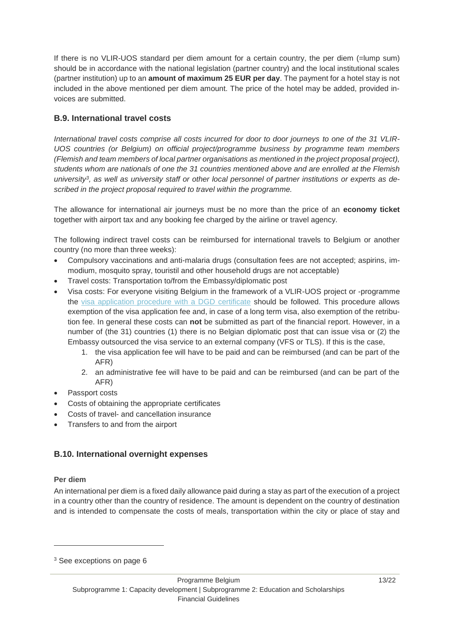If there is no VLIR-UOS standard per diem amount for a certain country, the per diem (=lump sum) should be in accordance with the national legislation (partner country) and the local institutional scales (partner institution) up to an **amount of maximum 25 EUR per day**. The payment for a hotel stay is not included in the above mentioned per diem amount. The price of the hotel may be added, provided invoices are submitted.

#### **B.9. International travel costs**

*International travel costs comprise all costs incurred for door to door journeys to one of the 31 VLIR-UOS countries (or Belgium) on official project/programme business by programme team members (Flemish and team members of local partner organisations as mentioned in the project proposal project), students whom are nationals of one the 31 countries mentioned above and are enrolled at the Flemish university<sup>3</sup> , as well as university staff or other local personnel of partner institutions or experts as described in the project proposal required to travel within the programme.*

The allowance for international air journeys must be no more than the price of an **economy ticket** together with airport tax and any booking fee charged by the airline or travel agency.

The following indirect travel costs can be reimbursed for international travels to Belgium or another country (no more than three weeks):

- Compulsory vaccinations and anti-malaria drugs (consultation fees are not accepted; aspirins, immodium, mosquito spray, touristil and other household drugs are not acceptable)
- Travel costs: Transportation to/from the Embassy/diplomatic post
- Visa costs: For everyone visiting Belgium in the framework of a VLIR-UOS project or -programme the [visa application procedure with a DGD certificate](https://cdn.webdoos.io/vliruos/67573e1a1398934ae5f43f2dc736db23.pdf) should be followed. This procedure allows exemption of the visa application fee and, in case of a long term visa, also exemption of the retribution fee. In general these costs can **not** be submitted as part of the financial report. However, in a number of (the 31) countries (1) there is no Belgian diplomatic post that can issue visa or (2) the Embassy outsourced the visa service to an external company (VFS or TLS). If this is the case,
	- 1. the visa application fee will have to be paid and can be reimbursed (and can be part of the AFR)
	- 2. an administrative fee will have to be paid and can be reimbursed (and can be part of the AFR)
- Passport costs
- Costs of obtaining the appropriate certificates
- Costs of travel- and cancellation insurance
- Transfers to and from the airport

#### **B.10. International overnight expenses**

#### **Per diem**

-

An international per diem is a fixed daily allowance paid during a stay as part of the execution of a project in a country other than the country of residence. The amount is dependent on the country of destination and is intended to compensate the costs of meals, transportation within the city or place of stay and

<sup>3</sup> See exceptions on page 6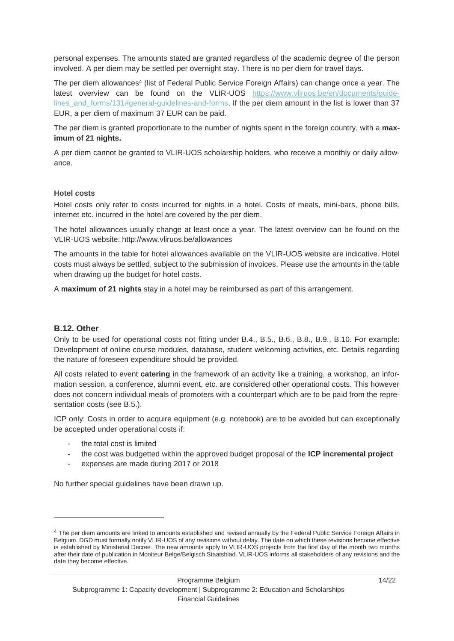personal expenses. The amounts stated are granted regardless of the academic degree of the person involved. A per diem may be settled per overnight stay. There is no per diem for travel days.

The per diem allowances<sup>4</sup> (list of Federal Public Service Foreign Affairs) can change once a year. The latest overview can be found on the VLIR-UOS [https://www.vliruos.be/en/documents/guide](https://www.vliruos.be/en/documents/guidelines_and_forms/131#general-guidelines-and-forms)[lines\\_and\\_forms/131#general-guidelines-and-forms.](https://www.vliruos.be/en/documents/guidelines_and_forms/131#general-guidelines-and-forms) If the per diem amount in the list is lower than 37 EUR, a per diem of maximum 37 EUR can be paid.

The per diem is granted proportionate to the number of nights spent in the foreign country, with a **maximum of 21 nights.** 

A per diem cannot be granted to VLIR-UOS scholarship holders, who receive a monthly or daily allowance.

#### **Hotel costs**

Hotel costs only refer to costs incurred for nights in a hotel. Costs of meals, mini-bars, phone bills, internet etc. incurred in the hotel are covered by the per diem.

The hotel allowances usually change at least once a year. The latest overview can be found on the VLIR-UOS website: http://www.vliruos.be/allowances

The amounts in the table for hotel allowances available on the VLIR-UOS website are indicative. Hotel costs must always be settled, subject to the submission of invoices. Please use the amounts in the table when drawing up the budget for hotel costs.

A **maximum of 21 nights** stay in a hotel may be reimbursed as part of this arrangement.

#### **B.12. Other**

-

Only to be used for operational costs not fitting under B.4., B.5., B.6., B.8., B.9., B.10. For example: Development of online course modules, database, student welcoming activities, etc. Details regarding the nature of foreseen expenditure should be provided.

All costs related to event **catering** in the framework of an activity like a training, a workshop, an information session, a conference, alumni event, etc. are considered other operational costs. This however does not concern individual meals of promoters with a counterpart which are to be paid from the representation costs (see B.5.).

ICP only: Costs in order to acquire equipment (e.g. notebook) are to be avoided but can exceptionally be accepted under operational costs if:

- the total cost is limited
- the cost was budgetted within the approved budget proposal of the **ICP incremental project**
- expenses are made during 2017 or 2018

No further special guidelines have been drawn up.

<sup>4</sup> The per diem amounts are linked to amounts established and revised annually by the Federal Public Service Foreign Affairs in Belgium. DGD must formally notify VLIR-UOS of any revisions without delay. The date on which these revisions become effective is established by Ministerial Decree. The new amounts apply to VLIR-UOS projects from the first day of the month two months after their date of publication in Moniteur Belge/Belgisch Staatsblad. VLIR-UOS informs all stakeholders of any revisions and the date they become effective.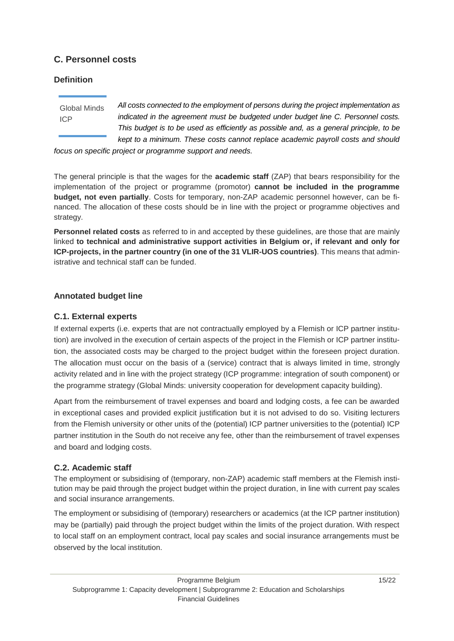## <span id="page-14-0"></span>**C. Personnel costs**

#### **Definition**

Global Minds ICP

*All costs connected to the employment of persons during the project implementation as indicated in the agreement must be budgeted under budget line C. Personnel costs. This budget is to be used as efficiently as possible and, as a general principle, to be kept to a minimum. These costs cannot replace academic payroll costs and should* 

*focus on specific project or programme support and needs.*

The general principle is that the wages for the **academic staff** (ZAP) that bears responsibility for the implementation of the project or programme (promotor) **cannot be included in the programme budget, not even partially**. Costs for temporary, non-ZAP academic personnel however, can be financed. The allocation of these costs should be in line with the project or programme objectives and strategy.

**Personnel related costs** as referred to in and accepted by these guidelines, are those that are mainly linked **to technical and administrative support activities in Belgium or, if relevant and only for ICP-projects, in the partner country (in one of the 31 VLIR-UOS countries)**. This means that administrative and technical staff can be funded.

#### **Annotated budget line**

#### **C.1. External experts**

If external experts (i.e. experts that are not contractually employed by a Flemish or ICP partner institution) are involved in the execution of certain aspects of the project in the Flemish or ICP partner institution, the associated costs may be charged to the project budget within the foreseen project duration. The allocation must occur on the basis of a (service) contract that is always limited in time, strongly activity related and in line with the project strategy (ICP programme: integration of south component) or the programme strategy (Global Minds: university cooperation for development capacity building).

Apart from the reimbursement of travel expenses and board and lodging costs, a fee can be awarded in exceptional cases and provided explicit justification but it is not advised to do so. Visiting lecturers from the Flemish university or other units of the (potential) ICP partner universities to the (potential) ICP partner institution in the South do not receive any fee, other than the reimbursement of travel expenses and board and lodging costs.

#### **C.2. Academic staff**

The employment or subsidising of (temporary, non-ZAP) academic staff members at the Flemish institution may be paid through the project budget within the project duration, in line with current pay scales and social insurance arrangements.

The employment or subsidising of (temporary) researchers or academics (at the ICP partner institution) may be (partially) paid through the project budget within the limits of the project duration. With respect to local staff on an employment contract, local pay scales and social insurance arrangements must be observed by the local institution.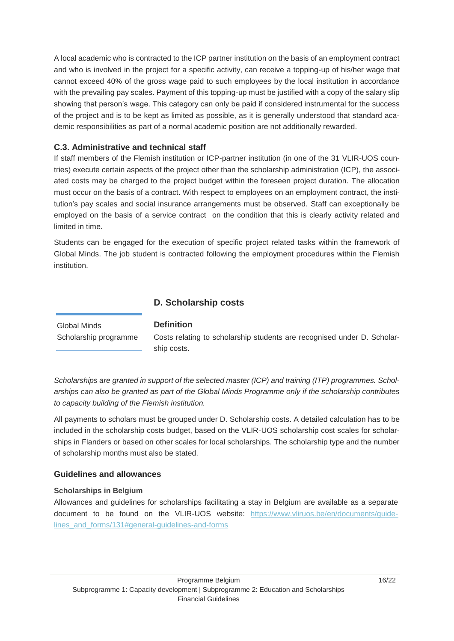A local academic who is contracted to the ICP partner institution on the basis of an employment contract and who is involved in the project for a specific activity, can receive a topping-up of his/her wage that cannot exceed 40% of the gross wage paid to such employees by the local institution in accordance with the prevailing pay scales. Payment of this topping-up must be justified with a copy of the salary slip showing that person's wage. This category can only be paid if considered instrumental for the success of the project and is to be kept as limited as possible, as it is generally understood that standard academic responsibilities as part of a normal academic position are not additionally rewarded.

#### **C.3. Administrative and technical staff**

If staff members of the Flemish institution or ICP-partner institution (in one of the 31 VLIR-UOS countries) execute certain aspects of the project other than the scholarship administration (ICP), the associated costs may be charged to the project budget within the foreseen project duration. The allocation must occur on the basis of a contract. With respect to employees on an employment contract, the institution's pay scales and social insurance arrangements must be observed. Staff can exceptionally be employed on the basis of a service contract on the condition that this is clearly activity related and limited in time.

Students can be engaged for the execution of specific project related tasks within the framework of Global Minds. The job student is contracted following the employment procedures within the Flemish institution.

## <span id="page-15-0"></span>**D. Scholarship costs**

**Definition**

Global Minds Scholarship programme

Costs relating to scholarship students are recognised under D. Scholarship costs.

*Scholarships are granted in support of the selected master (ICP) and training (ITP) programmes. Scholarships can also be granted as part of the Global Minds Programme only if the scholarship contributes to capacity building of the Flemish institution.*

All payments to scholars must be grouped under D. Scholarship costs. A detailed calculation has to be included in the scholarship costs budget, based on the VLIR-UOS scholarship cost scales for scholarships in Flanders or based on other scales for local scholarships. The scholarship type and the number of scholarship months must also be stated.

#### **Guidelines and allowances**

#### **Scholarships in Belgium**

Allowances and guidelines for scholarships facilitating a stay in Belgium are available as a separate document to be found on the VLIR-UOS website: [https://www.vliruos.be/en/documents/guide](https://www.vliruos.be/en/documents/guidelines_and_forms/131#general-guidelines-and-forms)[lines\\_and\\_forms/131#general-guidelines-and-forms](https://www.vliruos.be/en/documents/guidelines_and_forms/131#general-guidelines-and-forms)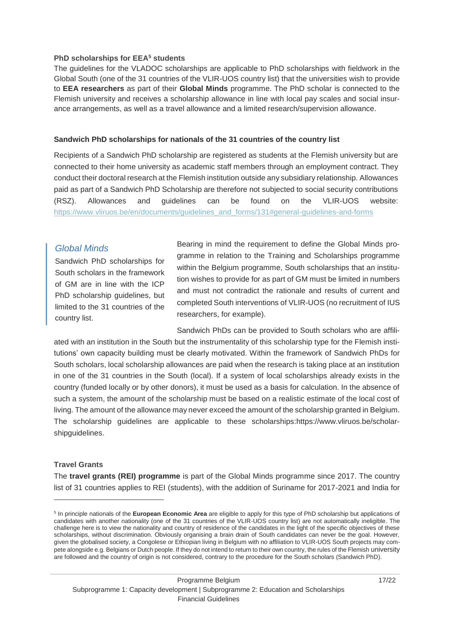#### **PhD scholarships for EEA<sup>5</sup> students**

The guidelines for the VLADOC scholarships are applicable to PhD scholarships with fieldwork in the Global South (one of the 31 countries of the VLIR-UOS country list) that the universities wish to provide to **EEA researchers** as part of their **Global Minds** programme. The PhD scholar is connected to the Flemish university and receives a scholarship allowance in line with local pay scales and social insurance arrangements, as well as a travel allowance and a limited research/supervision allowance.

#### **Sandwich PhD scholarships for nationals of the 31 countries of the country list**

Recipients of a Sandwich PhD scholarship are registered as students at the Flemish university but are connected to their home university as academic staff members through an employment contract. They conduct their doctoral research at the Flemish institution outside any subsidiary relationship. Allowances paid as part of a Sandwich PhD Scholarship are therefore not subjected to social security contributions (RSZ). Allowances and guidelines can be found on the VLIR-UOS website: [https://www.vliruos.be/en/documents/guidelines\\_and\\_forms/131#general-guidelines-and-forms](https://www.vliruos.be/en/documents/guidelines_and_forms/131#general-guidelines-and-forms)

#### *Global Minds*

Sandwich PhD scholarships for South scholars in the framework of GM are in line with the ICP PhD scholarship guidelines, but limited to the 31 countries of the country list.

Bearing in mind the requirement to define the Global Minds programme in relation to the Training and Scholarships programme within the Belgium programme, South scholarships that an institution wishes to provide for as part of GM must be limited in numbers and must not contradict the rationale and results of current and completed South interventions of VLIR-UOS (no recruitment of IUS researchers, for example).

Sandwich PhDs can be provided to South scholars who are affiliated with an institution in the South but the instrumentality of this scholarship type for the Flemish institutions' own capacity building must be clearly motivated. Within the framework of Sandwich PhDs for South scholars, local scholarship allowances are paid when the research is taking place at an institution in one of the 31 countries in the South (local). If a system of local scholarships already exists in the country (funded locally or by other donors), it must be used as a basis for calculation. In the absence of such a system, the amount of the scholarship must be based on a realistic estimate of the local cost of living. The amount of the allowance may never exceed the amount of the scholarship granted in Belgium. The scholarship guidelines are applicable to these scholarships:https://www.vliruos.be/scholarshipguidelines.

#### **Travel Grants**

-

The **travel grants (REI) programme** is part of the Global Minds programme since 2017. The country list of 31 countries applies to REI (students), with the addition of Suriname for 2017-2021 and India for

<sup>5</sup> In principle nationals of the **European Economic Area** are eligible to apply for this type of PhD scholarship but applications of candidates with another nationality (one of the 31 countries of the VLIR-UOS country list) are not automatically ineligible. The challenge here is to view the nationality and country of residence of the candidates in the light of the specific objectives of these scholarships, without discrimination. Obviously organising a brain drain of South candidates can never be the goal. However, given the globalised society, a Congolese or Ethiopian living in Belgium with no affiliation to VLIR-UOS South projects may compete alongside e.g. Belgians or Dutch people. If they do not intend to return to their own country, the rules of the Flemish university are followed and the country of origin is not considered, contrary to the procedure for the South scholars (Sandwich PhD).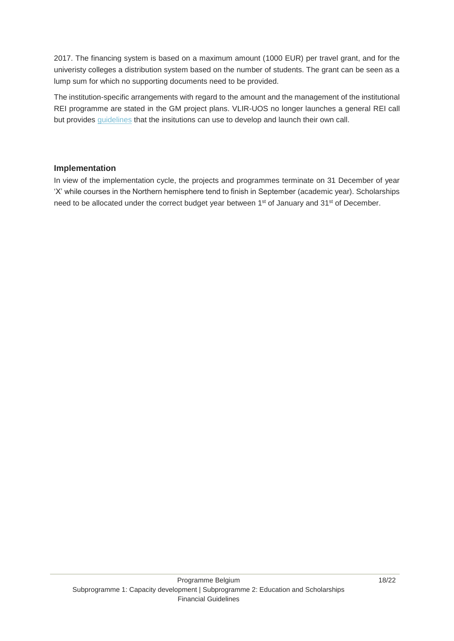2017. The financing system is based on a maximum amount (1000 EUR) per travel grant, and for the univeristy colleges a distribution system based on the number of students. The grant can be seen as a lump sum for which no supporting documents need to be provided.

The institution-specific arrangements with regard to the amount and the management of the institutional REI programme are stated in the GM project plans. VLIR-UOS no longer launches a general REI call but provides [guidelines](https://www.vliruos.be/en/documents/guidelines_and_forms/131#guidelines-and-forms-for-submitting-a-proposal) that the insitutions can use to develop and launch their own call.

#### **Implementation**

In view of the implementation cycle, the projects and programmes terminate on 31 December of year 'X' while courses in the Northern hemisphere tend to finish in September (academic year). Scholarships need to be allocated under the correct budget year between 1<sup>st</sup> of January and 31<sup>st</sup> of December.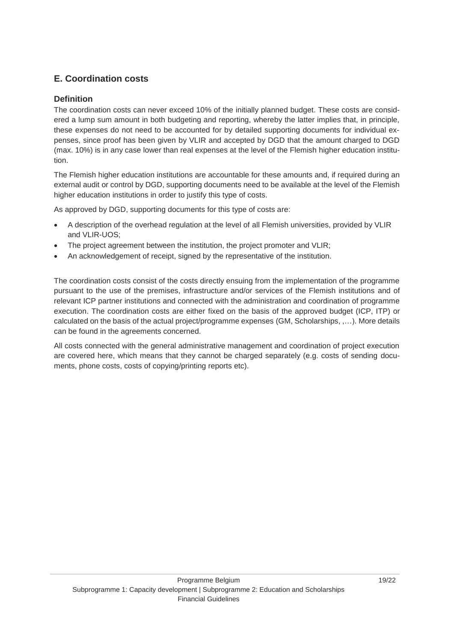## <span id="page-18-0"></span>**E. Coordination costs**

#### **Definition**

The coordination costs can never exceed 10% of the initially planned budget. These costs are considered a lump sum amount in both budgeting and reporting, whereby the latter implies that, in principle, these expenses do not need to be accounted for by detailed supporting documents for individual expenses, since proof has been given by VLIR and accepted by DGD that the amount charged to DGD (max. 10%) is in any case lower than real expenses at the level of the Flemish higher education institution.

The Flemish higher education institutions are accountable for these amounts and, if required during an external audit or control by DGD, supporting documents need to be available at the level of the Flemish higher education institutions in order to justify this type of costs.

As approved by DGD, supporting documents for this type of costs are:

- A description of the overhead regulation at the level of all Flemish universities, provided by VLIR and VLIR-UOS;
- The project agreement between the institution, the project promoter and VLIR;
- An acknowledgement of receipt, signed by the representative of the institution.

The coordination costs consist of the costs directly ensuing from the implementation of the programme pursuant to the use of the premises, infrastructure and/or services of the Flemish institutions and of relevant ICP partner institutions and connected with the administration and coordination of programme execution. The coordination costs are either fixed on the basis of the approved budget (ICP, ITP) or calculated on the basis of the actual project/programme expenses (GM, Scholarships, ,…). More details can be found in the agreements concerned.

All costs connected with the general administrative management and coordination of project execution are covered here, which means that they cannot be charged separately (e.g. costs of sending documents, phone costs, costs of copying/printing reports etc).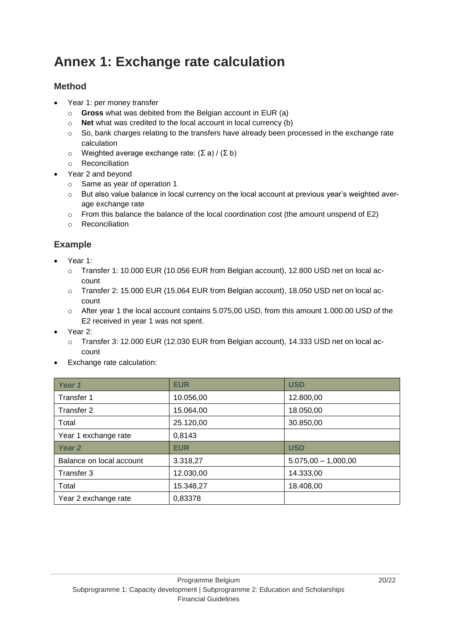## <span id="page-19-0"></span>**Annex 1: Exchange rate calculation**

## <span id="page-19-1"></span>**Method**

- Year 1: per money transfer
	- o **Gross** what was debited from the Belgian account in EUR (a)
	- o **Net** what was credited to the local account in local currency (b)
	- $\circ$  So, bank charges relating to the transfers have already been processed in the exchange rate calculation
	- o Weighted average exchange rate: (Σ a) / (Σ b)
	- o Reconciliation
- Year 2 and beyond
	- o Same as year of operation 1
	- o But also value balance in local currency on the local account at previous year's weighted average exchange rate
	- $\circ$  From this balance the balance of the local coordination cost (the amount unspend of E2)
	- o Reconciliation

## <span id="page-19-2"></span>**Example**

- Year 1:
	- o Transfer 1: 10.000 EUR (10.056 EUR from Belgian account), 12.800 USD net on local account
	- o Transfer 2: 15.000 EUR (15.064 EUR from Belgian account), 18.050 USD net on local account
	- o After year 1 the local account contains 5.075,00 USD, from this amount 1.000.00 USD of the E2 received in year 1 was not spent.
- Year 2:
	- o Transfer 3: 12.000 EUR (12.030 EUR from Belgian account), 14.333 USD net on local account
- Exchange rate calculation:

| Year 1                   | <b>EUR</b> | <b>USD</b>            |
|--------------------------|------------|-----------------------|
| Transfer 1               | 10.056,00  | 12.800,00             |
| Transfer 2               | 15.064,00  | 18.050,00             |
| Total                    | 25.120,00  | 30.850,00             |
| Year 1 exchange rate     | 0,8143     |                       |
| Year 2                   | <b>EUR</b> | <b>USD</b>            |
| Balance on local account | 3.318,27   | $5.075,00 - 1,000,00$ |
| Transfer 3               | 12.030,00  | 14.333,00             |
| Total                    | 15.348,27  | 18.408,00             |
| Year 2 exchange rate     | 0,83378    |                       |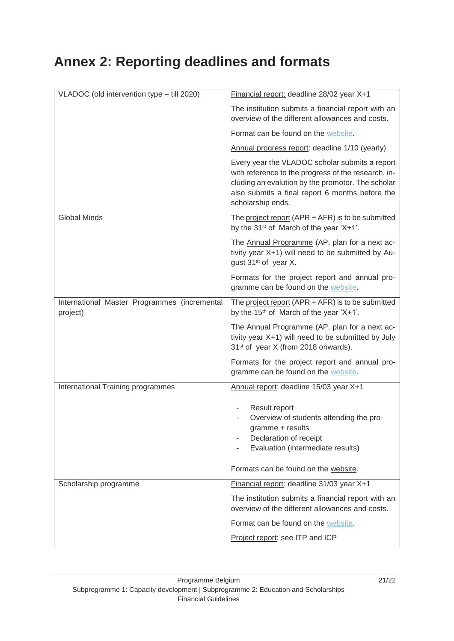# <span id="page-20-0"></span>**Annex 2: Reporting deadlines and formats**

| VLADOC (old intervention type - till 2020)               | Financial report: deadline 28/02 year X+1                                                                                                                                                                                          |
|----------------------------------------------------------|------------------------------------------------------------------------------------------------------------------------------------------------------------------------------------------------------------------------------------|
|                                                          | The institution submits a financial report with an<br>overview of the different allowances and costs.                                                                                                                              |
|                                                          | Format can be found on the website.                                                                                                                                                                                                |
|                                                          | Annual progress report: deadline 1/10 (yearly)                                                                                                                                                                                     |
|                                                          | Every year the VLADOC scholar submits a report<br>with reference to the progress of the research, in-<br>cluding an evalution by the promotor. The scholar<br>also submits a final report 6 months before the<br>scholarship ends. |
| <b>Global Minds</b>                                      | The project report (APR $+$ AFR) is to be submitted<br>by the 31 <sup>st</sup> of March of the year 'X+1'.                                                                                                                         |
|                                                          | The Annual Programme (AP, plan for a next ac-<br>tivity year X+1) will need to be submitted by Au-<br>gust 31 <sup>st</sup> of year X.                                                                                             |
|                                                          | Formats for the project report and annual pro-<br>gramme can be found on the website.                                                                                                                                              |
| International Master Programmes (incremental<br>project) | The project report (APR + AFR) is to be submitted<br>by the 15 <sup>th</sup> of March of the year 'X+1'.                                                                                                                           |
|                                                          | The Annual Programme (AP, plan for a next ac-<br>tivity year X+1) will need to be submitted by July<br>31 <sup>st</sup> of year X (from 2018 onwards).                                                                             |
|                                                          | Formats for the project report and annual pro-<br>gramme can be found on the website.                                                                                                                                              |
| International Training programmes                        |                                                                                                                                                                                                                                    |
|                                                          | Annual report: deadline 15/03 year X+1                                                                                                                                                                                             |
|                                                          | Result report<br>Overview of students attending the pro-<br>gramme + results<br>Declaration of receipt<br>Evaluation (intermediate results)                                                                                        |
|                                                          | Formats can be found on the website.                                                                                                                                                                                               |
| Scholarship programme                                    | Financial report: deadline 31/03 year X+1                                                                                                                                                                                          |
|                                                          | The institution submits a financial report with an<br>overview of the different allowances and costs.                                                                                                                              |
|                                                          | Format can be found on the website.                                                                                                                                                                                                |